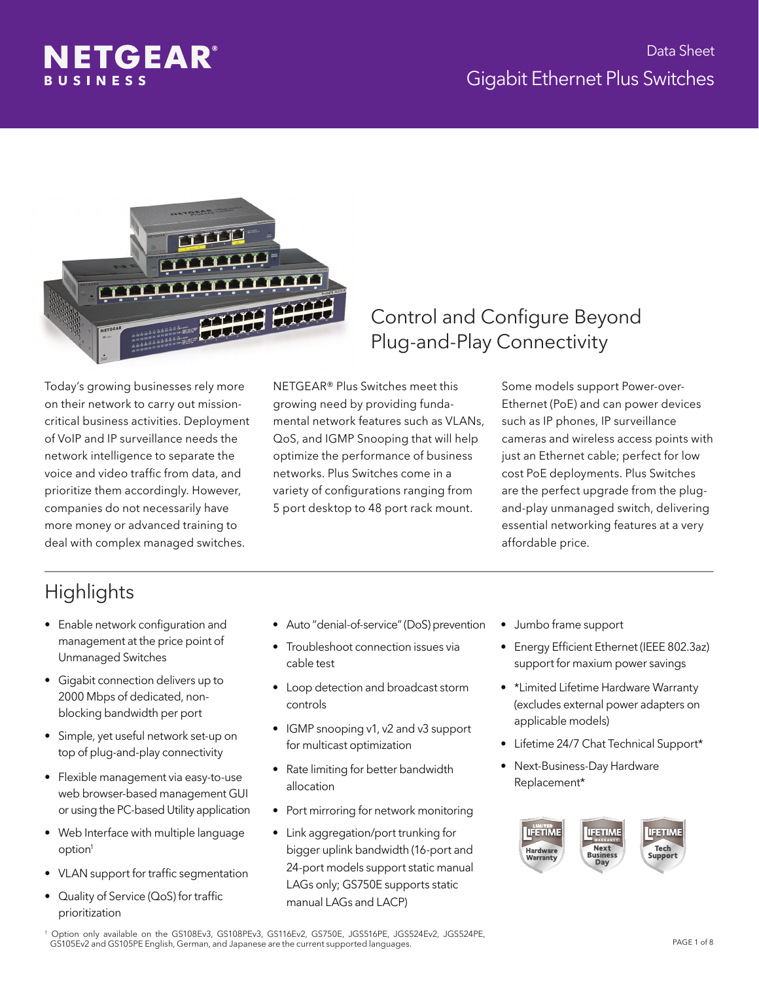



Today's growing businesses rely more on their network to carry out missioncritical business activities. Deployment of VoIP and IP surveillance needs the network intelligence to separate the voice and video traffic from data, and prioritize them accordingly. However, companies do not necessarily have more money or advanced training to deal with complex managed switches.

NETGEAR® Plus Switches meet this growing need by providing fundamental network features such as VLANs, QoS, and IGMP Snooping that will help optimize the performance of business networks. Plus Switches come in a variety of configurations ranging from 5 port desktop to 48 port rack mount.

#### Control and Configure Beyond Plug-and-Play Connectivity

Some models support Power-over-Ethernet (PoE) and can power devices such as IP phones, IP surveillance cameras and wireless access points with just an Ethernet cable; perfect for low cost PoE deployments. Plus Switches are the perfect upgrade from the plugand-play unmanaged switch, delivering essential networking features at a very affordable price.

### **Highlights**

- Enable network configuration and management at the price point of Unmanaged Switches
- Gigabit connection delivers up to 2000 Mbps of dedicated, nonblocking bandwidth per port
- Simple, yet useful network set-up on top of plug-and-play connectivity
- Flexible management via easy-to-use web browser-based management GUI or using the PC-based Utility application
- Web Interface with multiple language option<sup>1</sup>
- VLAN support for traffic segmentation
- Quality of Service (QoS) for traffic prioritization
- Auto "denial-of-service" (DoS) prevention
- Troubleshoot connection issues via cable test
- Loop detection and broadcast storm controls
- IGMP snooping v1, v2 and v3 support for multicast optimization
- Rate limiting for better bandwidth allocation
- Port mirroring for network monitoring
- Link aggregation/port trunking for bigger uplink bandwidth (16-port and 24-port models support static manual LAGs only; GS750E supports static manual LAGs and LACP)
- Jumbo frame support
- Energy Efficient Ethernet (IEEE 802.3az) support for maxium power savings
- \*Limited Lifetime Hardware Warranty (excludes external power adapters on applicable models)
- Lifetime 24/7 Chat Technical Support\*
- Next-Business-Day Hardware Replacement\*



1 Option only available on the GS108Ev3, GS108PEv3, GS116Ev2, GS750E, JGS516PE, JGS524Ev2, JGS524PE, GS105Ev2 and GS105PE English, German, and Japanese are the current supported languages.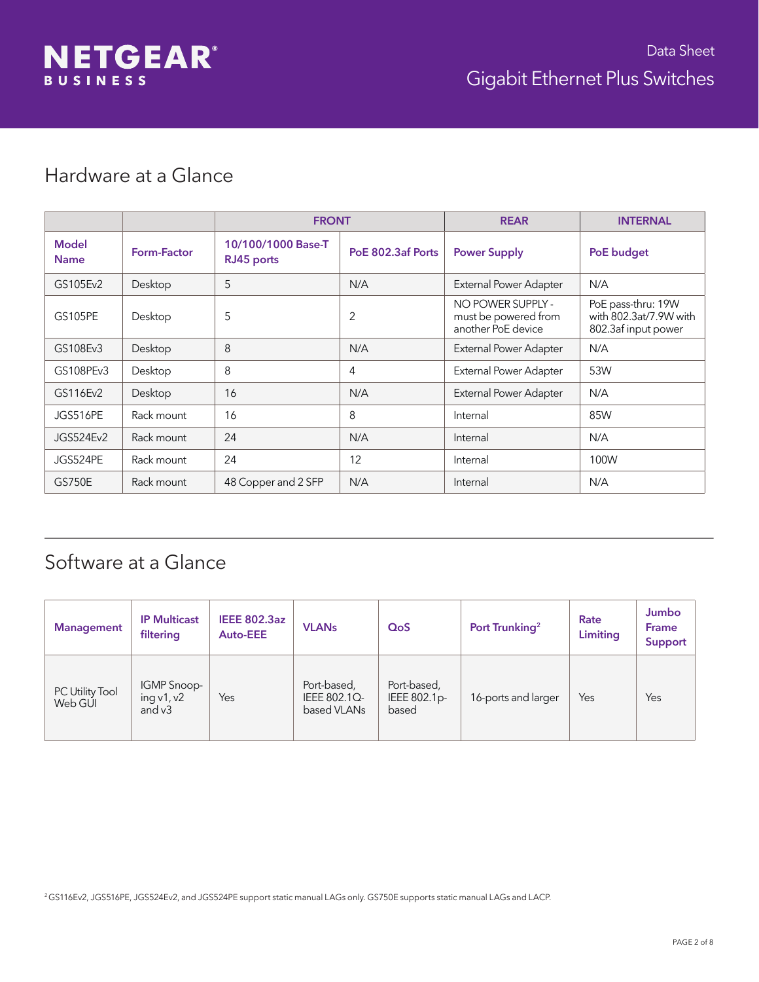

#### Hardware at a Glance

|                             |             | <b>FRONT</b>                     |                   | <b>REAR</b>                                                     | <b>INTERNAL</b>                                                     |
|-----------------------------|-------------|----------------------------------|-------------------|-----------------------------------------------------------------|---------------------------------------------------------------------|
| <b>Model</b><br><b>Name</b> | Form-Factor | 10/100/1000 Base-T<br>RJ45 ports | PoE 802.3af Ports | <b>Power Supply</b>                                             | PoE budget                                                          |
| GS105Ev2                    | Desktop     | 5                                | N/A               | External Power Adapter                                          | N/A                                                                 |
| <b>GS105PE</b>              | Desktop     | 5                                | 2                 | NO POWER SUPPLY -<br>must be powered from<br>another PoE device | PoE pass-thru: 19W<br>with 802.3at/7.9W with<br>802.3af input power |
| GS108Ev3                    | Desktop     | 8                                | N/A               | External Power Adapter                                          | N/A                                                                 |
| GS108PEv3                   | Desktop     | 8                                | 4                 | External Power Adapter                                          | 53W                                                                 |
| GS116Ev2                    | Desktop     | 16                               | N/A               | External Power Adapter                                          | N/A                                                                 |
| JGS516PE                    | Rack mount  | 16                               | 8                 | Internal                                                        | 85W                                                                 |
| JGS524Ev2                   | Rack mount  | 24                               | N/A               | Internal                                                        | N/A                                                                 |
| JGS524PE                    | Rack mount  | 24                               | 12                | Internal                                                        | 100W                                                                |
| <b>GS750E</b>               | Rack mount  | 48 Copper and 2 SFP              | N/A               | Internal                                                        | N/A                                                                 |

### Software at a Glance

| <b>Management</b>          | <b>IP Multicast</b><br>filtering        | <b>IEEE 802.3az</b><br><b>Auto-EEE</b> | <b>VLANs</b>                               | QoS                                  | Port Trunking <sup>2</sup> | Rate<br>Limiting | Jumbo<br><b>Frame</b><br>Support |
|----------------------------|-----------------------------------------|----------------------------------------|--------------------------------------------|--------------------------------------|----------------------------|------------------|----------------------------------|
| PC Utility Tool<br>Web GUI | IGMP Snoop-<br>ing $v1, v2$<br>and $v3$ | Yes                                    | Port-based,<br>IEEE 802.1Q-<br>based VLANs | Port-based,<br>IEEE 802.1p-<br>based | 16-ports and larger        | Yes              | Yes                              |

<sup>2</sup>GS116Ev2, JGS516PE, JGS524Ev2, and JGS524PE support static manual LAGs only. GS750E supports static manual LAGs and LACP.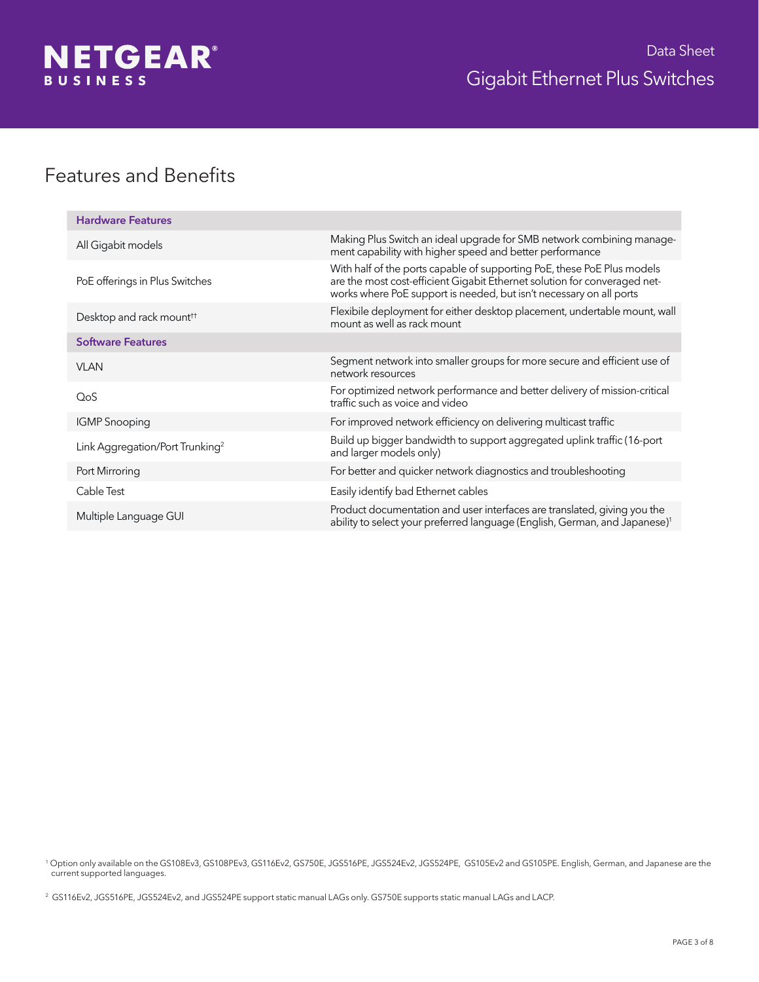

### Features and Benefits

| <b>Hardware Features</b>                    |                                                                                                                                                                                                                             |
|---------------------------------------------|-----------------------------------------------------------------------------------------------------------------------------------------------------------------------------------------------------------------------------|
| All Gigabit models                          | Making Plus Switch an ideal upgrade for SMB network combining manage-<br>ment capability with higher speed and better performance                                                                                           |
| PoE offerings in Plus Switches              | With half of the ports capable of supporting PoE, these PoE Plus models<br>are the most cost-efficient Gigabit Ethernet solution for converaged net-<br>works where PoE support is needed, but isn't necessary on all ports |
| Desktop and rack mount <sup>††</sup>        | Flexibile deployment for either desktop placement, undertable mount, wall<br>mount as well as rack mount                                                                                                                    |
| <b>Software Features</b>                    |                                                                                                                                                                                                                             |
| VI AN                                       | Segment network into smaller groups for more secure and efficient use of<br>network resources                                                                                                                               |
| QoS                                         | For optimized network performance and better delivery of mission-critical<br>traffic such as voice and video                                                                                                                |
| <b>IGMP</b> Snooping                        | For improved network efficiency on delivering multicast traffic                                                                                                                                                             |
| Link Aggregation/Port Trunking <sup>2</sup> | Build up bigger bandwidth to support aggregated uplink traffic (16-port<br>and larger models only)                                                                                                                          |
| Port Mirroring                              | For better and quicker network diagnostics and troubleshooting                                                                                                                                                              |
| Cable Test                                  | Easily identify bad Ethernet cables                                                                                                                                                                                         |
| Multiple Language GUI                       | Product documentation and user interfaces are translated, giving you the<br>ability to select your preferred language (English, German, and Japanese) <sup>1</sup>                                                          |

1 Option only available on the GS108Ev3, GS108PEv3, GS116Ev2, GS750E, JGS516PE, JGS524Ev2, JGS524PE, GS105Ev2 and GS105PE. English, German, and Japanese are the current supported languages.

<sup>2</sup> GS116Ev2, JGS516PE, JGS524Ev2, and JGS524PE support static manual LAGs only. GS750E supports static manual LAGs and LACP.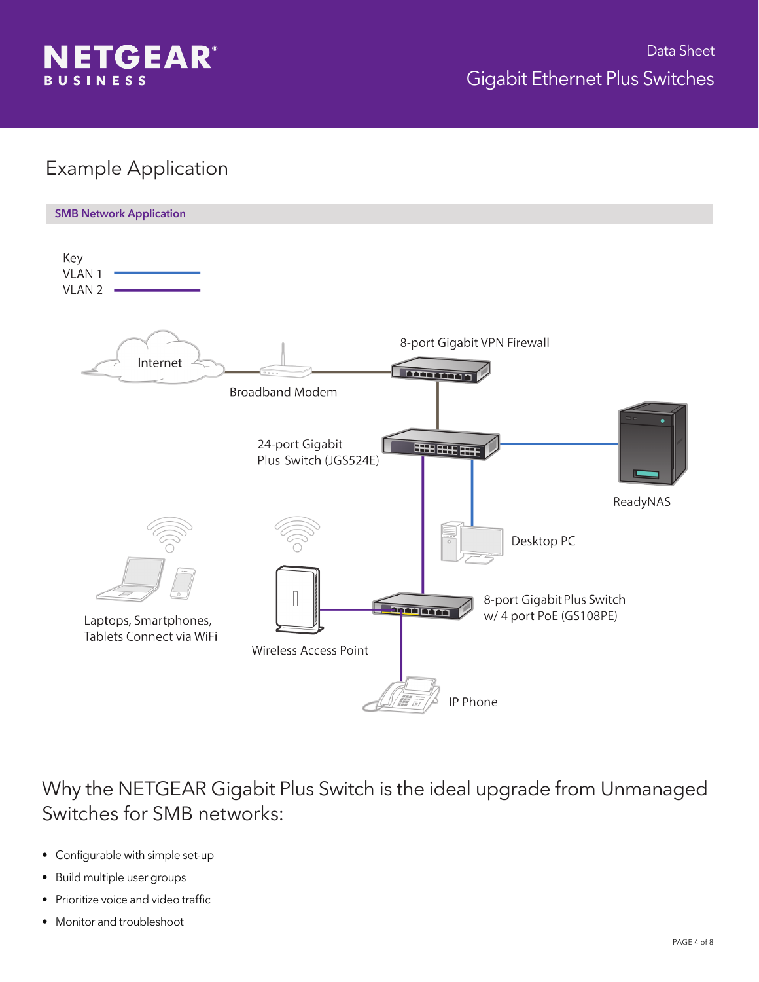

#### Example Application



Why the NETGEAR Gigabit Plus Switch is the ideal upgrade from Unmanaged Switches for SMB networks:

- Configurable with simple set-up
- Build multiple user groups
- Prioritize voice and video traffic
- Monitor and troubleshoot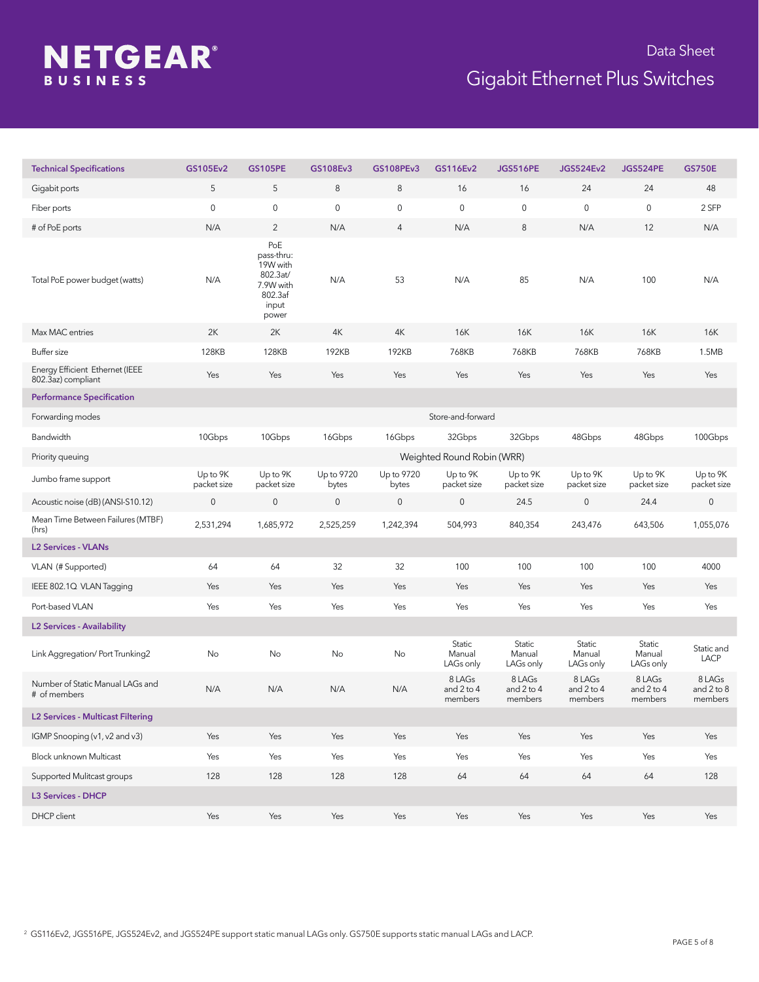# **NETGEAR®**

# Gigabit Ethernet Plus Switches Data Sheet

| <b>Technical Specifications</b>                       | GS105Ev2                | <b>GS105PE</b>                                                                      | GS108Ev3            | <b>GS108PEv3</b>    | GS116Ev2                        | <b>JGS516PE</b>                 | <b>JGS524Ev2</b>                | <b>JGS524PE</b>                 | <b>GS750E</b>                   |
|-------------------------------------------------------|-------------------------|-------------------------------------------------------------------------------------|---------------------|---------------------|---------------------------------|---------------------------------|---------------------------------|---------------------------------|---------------------------------|
| Gigabit ports                                         | 5                       | 5                                                                                   | 8                   | $\,8\,$             | 16                              | 16                              | 24                              | 24                              | 48                              |
| Fiber ports                                           | $\mathbf 0$             | $\mathbf 0$                                                                         | $\mathsf{O}\xspace$ | 0                   | $\mathbf 0$                     | $\mathsf{O}\xspace$             | $\mathsf{O}\xspace$             | $\mathsf{O}\xspace$             | 2 SFP                           |
| # of PoE ports                                        | N/A                     | $\overline{2}$                                                                      | N/A                 | 4                   | N/A                             | $\,8\,$                         | N/A                             | 12                              | N/A                             |
| Total PoE power budget (watts)                        | N/A                     | PoE<br>pass-thru:<br>19W with<br>802.3at/<br>7.9W with<br>802.3af<br>input<br>power | N/A                 | 53                  | N/A                             | 85                              | N/A                             | 100                             | N/A                             |
| Max MAC entries                                       | 2K                      | 2K                                                                                  | 4K                  | 4K                  | 16K                             | 16K                             | 16K                             | 16K                             | 16K                             |
| Buffer size                                           | 128KB                   | <b>128KB</b>                                                                        | 192KB               | 192KB               | 768KB                           | 768KB                           | 768KB                           | 768KB                           | 1.5MB                           |
| Energy Efficient Ethernet (IEEE<br>802.3az) compliant | Yes                     | Yes                                                                                 | Yes                 | Yes                 | Yes                             | Yes                             | Yes                             | Yes                             | Yes                             |
| <b>Performance Specification</b>                      |                         |                                                                                     |                     |                     |                                 |                                 |                                 |                                 |                                 |
| Forwarding modes                                      |                         |                                                                                     |                     |                     | Store-and-forward               |                                 |                                 |                                 |                                 |
| Bandwidth                                             | 10Gbps                  | 10Gbps                                                                              | 16Gbps              | 16Gbps              | 32Gbps                          | 32Gbps                          | 48Gbps                          | 48Gbps                          | 100Gbps                         |
| Priority queuing                                      |                         |                                                                                     |                     |                     | Weighted Round Robin (WRR)      |                                 |                                 |                                 |                                 |
| Jumbo frame support                                   | Up to 9K<br>packet size | Up to 9K<br>packet size                                                             | Up to 9720<br>bytes | Up to 9720<br>bytes | Up to 9K<br>packet size         | Up to 9K<br>packet size         | Up to 9K<br>packet size         | Up to 9K<br>packet size         | Up to 9K<br>packet size         |
| Acoustic noise (dB) (ANSI-S10.12)                     | $\mathbf 0$             | $\mathsf{O}\xspace$                                                                 | $\mathbf 0$         | $\mathsf{O}\xspace$ | $\mathbf 0$                     | 24.5                            | 0                               | 24.4                            | $\mathsf{O}\xspace$             |
| Mean Time Between Failures (MTBF)<br>(hrs)            | 2,531,294               | 1,685,972                                                                           | 2,525,259           | 1,242,394           | 504,993                         | 840,354                         | 243,476                         | 643,506                         | 1,055,076                       |
| <b>L2 Services - VLANs</b>                            |                         |                                                                                     |                     |                     |                                 |                                 |                                 |                                 |                                 |
| VLAN (# Supported)                                    | 64                      | 64                                                                                  | 32                  | 32                  | 100                             | 100                             | 100                             | 100                             | 4000                            |
| IEEE 802.1Q VLAN Tagging                              | Yes                     | Yes                                                                                 | Yes                 | Yes                 | Yes                             | Yes                             | Yes                             | Yes                             | Yes                             |
| Port-based VLAN                                       | Yes                     | Yes                                                                                 | Yes                 | Yes                 | Yes                             | Yes                             | Yes                             | Yes                             | Yes                             |
| <b>L2 Services - Availability</b>                     |                         |                                                                                     |                     |                     |                                 |                                 |                                 |                                 |                                 |
| Link Aggregation/ Port Trunking2                      | No                      | No                                                                                  | No                  | No                  | Static<br>Manual<br>LAGs only   | Static<br>Manual<br>LAGs only   | Static<br>Manual<br>LAGs only   | Static<br>Manual<br>LAGs only   | Static and<br><b>LACP</b>       |
| Number of Static Manual LAGs and<br># of members      | N/A                     | N/A                                                                                 | N/A                 | N/A                 | 8 LAGs<br>and 2 to 4<br>members | 8 LAGs<br>and 2 to 4<br>members | 8 LAGs<br>and 2 to 4<br>members | 8 LAGs<br>and 2 to 4<br>members | 8 LAGs<br>and 2 to 8<br>members |
| <b>L2 Services - Multicast Filtering</b>              |                         |                                                                                     |                     |                     |                                 |                                 |                                 |                                 |                                 |
| IGMP Snooping (v1, v2 and v3)                         | Yes                     | Yes                                                                                 | Yes                 | Yes                 | Yes                             | Yes                             | Yes                             | Yes                             | Yes                             |
| Block unknown Multicast                               | Yes                     | Yes                                                                                 | Yes                 | Yes                 | Yes                             | Yes                             | Yes                             | Yes                             | Yes                             |
| Supported Mulitcast groups                            | 128                     | 128                                                                                 | 128                 | 128                 | 64                              | 64                              | 64                              | $64\,$                          | 128                             |
| <b>L3 Services - DHCP</b>                             |                         |                                                                                     |                     |                     |                                 |                                 |                                 |                                 |                                 |
| DHCP client                                           | Yes                     | Yes                                                                                 | Yes                 | Yes                 | Yes                             | Yes                             | Yes                             | Yes                             | Yes                             |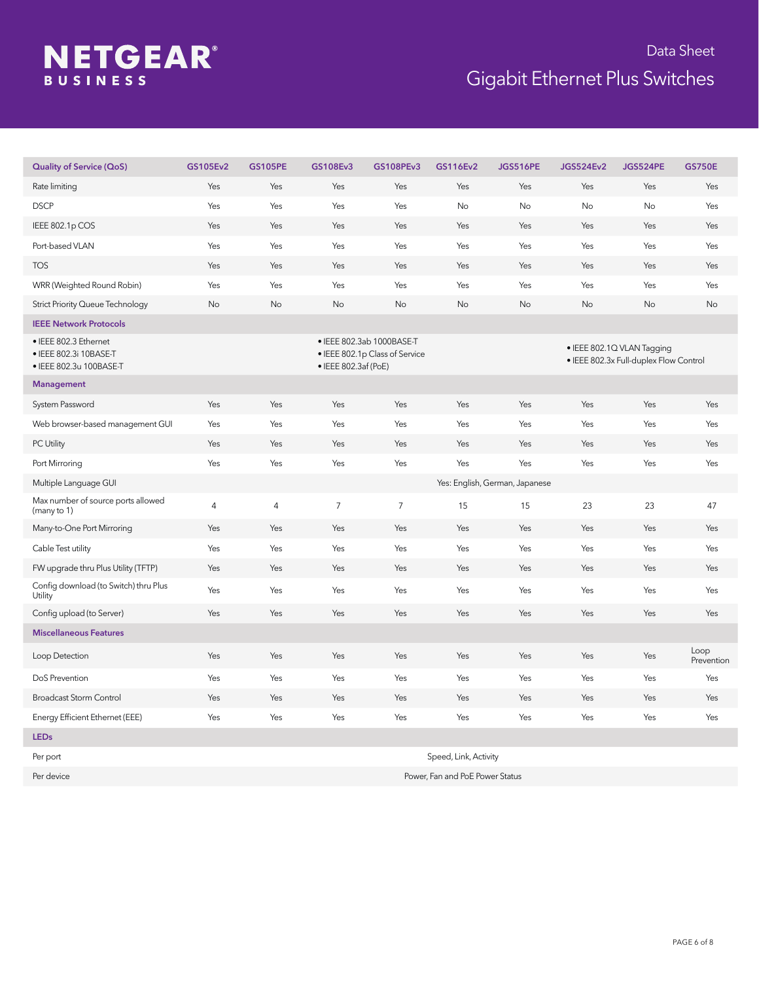# **NETGEAR®**

## Gigabit Ethernet Plus Switches Data Sheet

| <b>Quality of Service (QoS)</b>                                            | GS105Ev2   | <b>GS105PE</b> | GS108Ev3             | GS108PEv3                                                   | GS116Ev2  | <b>JGS516PE</b>                | <b>JGS524Ev2</b> | <b>JGS524PE</b>                                                      | <b>GS750E</b>      |
|----------------------------------------------------------------------------|------------|----------------|----------------------|-------------------------------------------------------------|-----------|--------------------------------|------------------|----------------------------------------------------------------------|--------------------|
| Rate limiting                                                              | Yes        | Yes            | Yes                  | Yes                                                         | Yes       | Yes                            | Yes              | Yes                                                                  | Yes                |
| <b>DSCP</b>                                                                | Yes        | Yes            | Yes                  | Yes                                                         | No        | No                             | No               | No                                                                   | Yes                |
| IEEE 802.1p COS                                                            | Yes        | Yes            | Yes                  | Yes                                                         | Yes       | Yes                            | Yes              | Yes                                                                  | Yes                |
| Port-based VLAN                                                            | Yes        | Yes            | Yes                  | Yes                                                         | Yes       | Yes                            | Yes              | Yes                                                                  | Yes                |
| <b>TOS</b>                                                                 | Yes        | Yes            | Yes                  | Yes                                                         | Yes       | Yes                            | Yes              | Yes                                                                  | Yes                |
| WRR (Weighted Round Robin)                                                 | Yes        | Yes            | Yes                  | Yes                                                         | Yes       | Yes                            | Yes              | Yes                                                                  | Yes                |
| <b>Strict Priority Queue Technology</b>                                    | No         | No             | <b>No</b>            | <b>No</b>                                                   | <b>No</b> | <b>No</b>                      | <b>No</b>        | <b>No</b>                                                            | No                 |
| <b>IEEE Network Protocols</b>                                              |            |                |                      |                                                             |           |                                |                  |                                                                      |                    |
| • IEEE 802.3 Ethernet<br>• IEEE 802.3i 10BASE-T<br>• IEEE 802.3u 100BASE-T |            |                | · IEEE 802.3af (PoE) | · IEEE 802.3ab 1000BASE-T<br>• IEEE 802.1p Class of Service |           |                                |                  | · IEEE 802.1Q VLAN Tagging<br>· IEEE 802.3x Full-duplex Flow Control |                    |
| <b>Management</b>                                                          |            |                |                      |                                                             |           |                                |                  |                                                                      |                    |
| System Password                                                            | Yes        | Yes            | Yes                  | Yes                                                         | Yes       | Yes                            | Yes              | Yes                                                                  | Yes                |
| Web browser-based management GUI                                           | Yes        | Yes            | Yes                  | Yes                                                         | Yes       | Yes                            | Yes              | Yes                                                                  | Yes                |
| PC Utility                                                                 | Yes        | Yes            | Yes                  | Yes                                                         | Yes       | Yes                            | Yes              | Yes                                                                  | Yes                |
| Port Mirroring                                                             | Yes        | Yes            | Yes                  | Yes                                                         | Yes       | Yes                            | Yes              | Yes                                                                  | Yes                |
| Multiple Language GUI                                                      |            |                |                      |                                                             |           | Yes: English, German, Japanese |                  |                                                                      |                    |
| Max number of source ports allowed<br>(many to 1)                          | $\sqrt{4}$ | $\sqrt{4}$     | $\overline{7}$       | $\overline{7}$                                              | 15        | 15                             | 23               | 23                                                                   | 47                 |
| Many-to-One Port Mirroring                                                 | Yes        | Yes            | Yes                  | Yes                                                         | Yes       | Yes                            | Yes              | Yes                                                                  | Yes                |
| Cable Test utility                                                         | Yes        | Yes            | Yes                  | Yes                                                         | Yes       | Yes                            | Yes              | Yes                                                                  | Yes                |
| FW upgrade thru Plus Utility (TFTP)                                        | Yes        | Yes            | Yes                  | Yes                                                         | Yes       | Yes                            | Yes              | Yes                                                                  | Yes                |
| Config download (to Switch) thru Plus<br>Utility                           | Yes        | Yes            | Yes                  | Yes                                                         | Yes       | Yes                            | Yes              | Yes                                                                  | Yes                |
| Config upload (to Server)                                                  | Yes        | Yes            | Yes                  | Yes                                                         | Yes       | Yes                            | Yes              | Yes                                                                  | Yes                |
| <b>Miscellaneous Features</b>                                              |            |                |                      |                                                             |           |                                |                  |                                                                      |                    |
| Loop Detection                                                             | Yes        | Yes            | Yes                  | Yes                                                         | Yes       | Yes                            | Yes              | Yes                                                                  | Loop<br>Prevention |
| DoS Prevention                                                             | Yes        | Yes            | Yes                  | Yes                                                         | Yes       | Yes                            | Yes              | Yes                                                                  | Yes                |
| <b>Broadcast Storm Control</b>                                             | Yes        | Yes            | Yes                  | Yes                                                         | Yes       | Yes                            | Yes              | Yes                                                                  | Yes                |
| Energy Efficient Ethernet (EEE)                                            | Yes        | Yes            | Yes                  | Yes                                                         | Yes       | Yes                            | Yes              | Yes                                                                  | Yes                |
| <b>LEDs</b>                                                                |            |                |                      |                                                             |           |                                |                  |                                                                      |                    |

Per port Speed, Link, Activity Per device Power, Fan and PoE Power Status

PAGE 6 of 8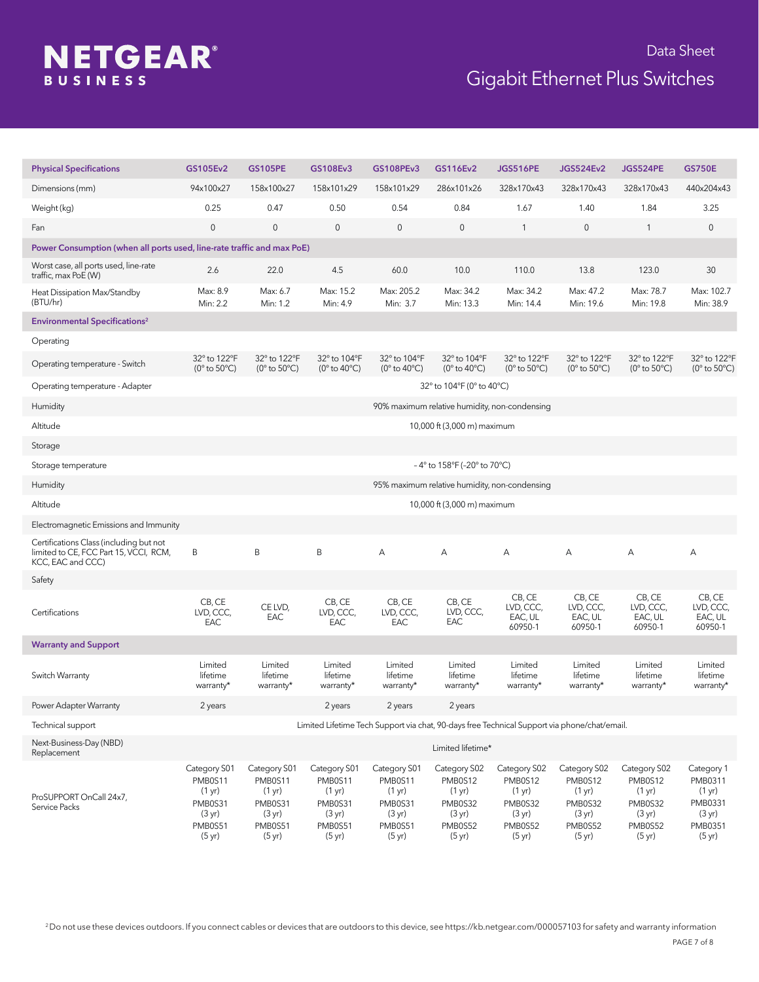# **NETGEAR®**

## Gigabit Ethernet Plus Switches Data Sheet

| <b>Physical Specifications</b>                                                                         | GS105Ev2                                                                                        | <b>GS105PE</b>                                                                                  | GS108Ev3                                                                                        | GS108PEv3                                                                                                 | GS116Ev2                                                                                                  | <b>JGS516PE</b>                                                                                 | <b>JGS524Ev2</b>                                                                                          | <b>JGS524PE</b>                                                                                 | <b>GS750E</b>                                                                                           |
|--------------------------------------------------------------------------------------------------------|-------------------------------------------------------------------------------------------------|-------------------------------------------------------------------------------------------------|-------------------------------------------------------------------------------------------------|-----------------------------------------------------------------------------------------------------------|-----------------------------------------------------------------------------------------------------------|-------------------------------------------------------------------------------------------------|-----------------------------------------------------------------------------------------------------------|-------------------------------------------------------------------------------------------------|---------------------------------------------------------------------------------------------------------|
| Dimensions (mm)                                                                                        | 94x100x27                                                                                       | 158x100x27                                                                                      | 158x101x29                                                                                      | 158x101x29                                                                                                | 286x101x26                                                                                                | 328x170x43                                                                                      | 328x170x43                                                                                                | 328x170x43                                                                                      | 440x204x43                                                                                              |
| Weight (kg)                                                                                            | 0.25                                                                                            | 0.47                                                                                            | 0.50                                                                                            | 0.54                                                                                                      | 0.84                                                                                                      | 1.67                                                                                            | 1.40                                                                                                      | 1.84                                                                                            | 3.25                                                                                                    |
| Fan                                                                                                    | $\mathbf 0$                                                                                     | $\mathsf{O}\xspace$                                                                             | $\mathsf{0}$                                                                                    | $\mathbf 0$                                                                                               | $\mathbf 0$                                                                                               | $\mathbf{1}$                                                                                    | $\mathbf 0$                                                                                               | $\mathbf{1}$                                                                                    | $\mathbf 0$                                                                                             |
| Power Consumption (when all ports used, line-rate traffic and max PoE)                                 |                                                                                                 |                                                                                                 |                                                                                                 |                                                                                                           |                                                                                                           |                                                                                                 |                                                                                                           |                                                                                                 |                                                                                                         |
| Worst case, all ports used, line-rate<br>traffic, max PoE (W)                                          | 2.6                                                                                             | 22.0                                                                                            | 4.5                                                                                             | 60.0                                                                                                      | 10.0                                                                                                      | 110.0                                                                                           | 13.8                                                                                                      | 123.0                                                                                           | 30                                                                                                      |
| Heat Dissipation Max/Standby<br>(BTU/hr)                                                               | Max: 8.9<br>Min: 2.2                                                                            | Max: 6.7<br>Min: 1.2                                                                            | Max: 15.2<br>Min: 4.9                                                                           | Max: 205.2<br>Min: 3.7                                                                                    | Max: 34.2<br>Min: 13.3                                                                                    | Max: 34.2<br>Min: 14.4                                                                          | Max: 47.2<br>Min: 19.6                                                                                    | Max: 78.7<br>Min: 19.8                                                                          | Max: 102.7<br>Min: 38.9                                                                                 |
| <b>Environmental Specifications<sup>2</sup></b>                                                        |                                                                                                 |                                                                                                 |                                                                                                 |                                                                                                           |                                                                                                           |                                                                                                 |                                                                                                           |                                                                                                 |                                                                                                         |
| Operating                                                                                              |                                                                                                 |                                                                                                 |                                                                                                 |                                                                                                           |                                                                                                           |                                                                                                 |                                                                                                           |                                                                                                 |                                                                                                         |
| Operating temperature - Switch                                                                         | 32° to 122°F<br>$(0^{\circ}$ to 50 $^{\circ}$ C)                                                | 32° to 122°F<br>$(0^{\circ}$ to $50^{\circ}$ C)                                                 | 32° to 104°F<br>(0 $^{\circ}$ to 40 $^{\circ}$ C)                                               | 32° to 104°F<br>(0 $^{\circ}$ to 40 $^{\circ}$ C)                                                         | 32° to 104°F<br>(0 $^{\circ}$ to 40 $^{\circ}$ C)                                                         | 32° to 122°F<br>(0 $^{\circ}$ to 50 $^{\circ}$ C)                                               | 32° to 122°F<br>$(0^{\circ}$ to 50 $^{\circ}$ C)                                                          | 32° to 122°F<br>(0 $^{\circ}$ to 50 $^{\circ}$ C)                                               | 32° to 122°F<br>$(0^{\circ}$ to 50 $^{\circ}$ C)                                                        |
| Operating temperature - Adapter                                                                        |                                                                                                 |                                                                                                 |                                                                                                 |                                                                                                           | 32° to 104°F (0° to 40°C)                                                                                 |                                                                                                 |                                                                                                           |                                                                                                 |                                                                                                         |
| Humidity                                                                                               |                                                                                                 |                                                                                                 |                                                                                                 |                                                                                                           | 90% maximum relative humidity, non-condensing                                                             |                                                                                                 |                                                                                                           |                                                                                                 |                                                                                                         |
| Altitude                                                                                               |                                                                                                 |                                                                                                 |                                                                                                 |                                                                                                           | 10,000 ft (3,000 m) maximum                                                                               |                                                                                                 |                                                                                                           |                                                                                                 |                                                                                                         |
| Storage                                                                                                |                                                                                                 |                                                                                                 |                                                                                                 |                                                                                                           |                                                                                                           |                                                                                                 |                                                                                                           |                                                                                                 |                                                                                                         |
| Storage temperature                                                                                    |                                                                                                 |                                                                                                 |                                                                                                 |                                                                                                           | -4° to 158°F (-20° to 70°C)                                                                               |                                                                                                 |                                                                                                           |                                                                                                 |                                                                                                         |
| Humidity                                                                                               |                                                                                                 |                                                                                                 |                                                                                                 |                                                                                                           | 95% maximum relative humidity, non-condensing                                                             |                                                                                                 |                                                                                                           |                                                                                                 |                                                                                                         |
| Altitude                                                                                               |                                                                                                 |                                                                                                 |                                                                                                 |                                                                                                           | 10,000 ft (3,000 m) maximum                                                                               |                                                                                                 |                                                                                                           |                                                                                                 |                                                                                                         |
| Electromagnetic Emissions and Immunity                                                                 |                                                                                                 |                                                                                                 |                                                                                                 |                                                                                                           |                                                                                                           |                                                                                                 |                                                                                                           |                                                                                                 |                                                                                                         |
| Certifications Class (including but not<br>limited to CE, FCC Part 15, VCCI, RCM,<br>KCC, EAC and CCC) | B                                                                                               | B                                                                                               | B                                                                                               | Α                                                                                                         | A                                                                                                         | Α                                                                                               | Α                                                                                                         | А                                                                                               | Α                                                                                                       |
| Safety                                                                                                 |                                                                                                 |                                                                                                 |                                                                                                 |                                                                                                           |                                                                                                           |                                                                                                 |                                                                                                           |                                                                                                 |                                                                                                         |
| Certifications                                                                                         | CB, CE<br>LVD, CCC,<br>EAC                                                                      | CE LVD,<br>EAC                                                                                  | CB, CE<br>LVD, CCC,<br>EAC                                                                      | CB, CE<br>LVD, CCC,<br>EAC                                                                                | CB, CE<br>LVD, CCC,<br>EAC                                                                                | CB, CE<br>LVD, CCC,<br>EAC, UL<br>60950-1                                                       | CB, CE<br>LVD, CCC,<br>EAC, UL<br>60950-1                                                                 | CB, CE<br>LVD, CCC,<br>EAC, UL<br>60950-1                                                       | CB, CE<br>LVD, CCC,<br>EAC, UL<br>60950-1                                                               |
| <b>Warranty and Support</b>                                                                            |                                                                                                 |                                                                                                 |                                                                                                 |                                                                                                           |                                                                                                           |                                                                                                 |                                                                                                           |                                                                                                 |                                                                                                         |
| Switch Warranty                                                                                        | Limited<br>lifetime<br>warranty*                                                                | Limited<br>lifetime<br>warranty*                                                                | Limited<br>lifetime<br>warranty*                                                                | Limited<br>lifetime<br>warranty*                                                                          | Limited<br>lifetime<br>warranty*                                                                          | Limited<br>lifetime<br>warranty*                                                                | Limited<br>lifetime<br>warranty*                                                                          | Limited<br>lifetime<br>warranty*                                                                | Limited<br>lifetime<br>warranty*                                                                        |
| Power Adapter Warranty                                                                                 | 2 years                                                                                         |                                                                                                 | 2 years                                                                                         | 2 years                                                                                                   | 2 years                                                                                                   |                                                                                                 |                                                                                                           |                                                                                                 |                                                                                                         |
| Technical support                                                                                      |                                                                                                 |                                                                                                 | Limited Lifetime Tech Support via chat, 90-days free Technical Support via phone/chat/email.    |                                                                                                           |                                                                                                           |                                                                                                 |                                                                                                           |                                                                                                 |                                                                                                         |
| Next-Business-Day (NBD)<br>Replacement                                                                 |                                                                                                 |                                                                                                 |                                                                                                 |                                                                                                           | Limited lifetime*                                                                                         |                                                                                                 |                                                                                                           |                                                                                                 |                                                                                                         |
| ProSUPPORT OnCall 24x7,<br>Service Packs                                                               | Category S01<br>PMB0S11<br>(1 yr)<br>PMB0S31<br>$(3 \text{ yr})$<br>PMB0S51<br>$(5 \text{ yr})$ | Category S01<br>PMB0S11<br>(1 yr)<br>PMB0S31<br>$(3 \text{ yr})$<br>PMB0S51<br>$(5 \text{ yr})$ | Category S01<br>PMB0S11<br>(1 yr)<br>PMB0S31<br>$(3 \text{ yr})$<br>PMB0S51<br>$(5 \text{ yr})$ | Category S01<br>PMB0S11<br>$(1 \text{ yr})$<br>PMB0S31<br>$(3 \text{ yr})$<br>PMB0S51<br>$(5 \text{ yr})$ | Category S02<br>PMB0S12<br>$(1 \text{ yr})$<br>PMB0S32<br>$(3 \text{ yr})$<br>PMB0S52<br>$(5 \text{ yr})$ | Category S02<br>PMB0S12<br>(1 yr)<br>PMB0S32<br>$(3 \text{ yr})$<br>PMB0S52<br>$(5 \text{ yr})$ | Category S02<br>PMB0S12<br>$(1 \text{ yr})$<br>PMB0S32<br>$(3 \text{ yr})$<br>PMB0S52<br>$(5 \text{ yr})$ | Category S02<br>PMB0S12<br>(1 yr)<br>PMB0S32<br>$(3 \text{ yr})$<br>PMB0S52<br>$(5 \text{ yr})$ | Category 1<br>PMB0311<br>$(1 \text{ yr})$<br>PMB0331<br>$(3 \text{ yr})$<br>PMB0351<br>$(5 \text{ yr})$ |

2 Do not use these devices outdoors. If you connect cables or devices that are outdoors to this device, see https://kb.netgear.com/000057103 for safety and warranty information